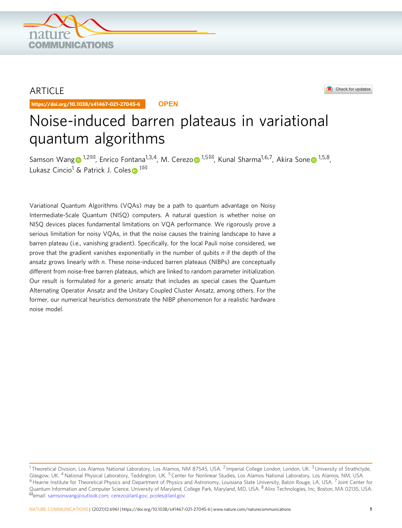

## ARTICLE

https://doi.org/10.1038/s41467-021-27045-6 **OPEN**

# Noise-induced barren plateaus in variational quantum algorithms

Samson Wan[g](http://orcid.org/0000-0003-2344-0634)  $1^{1,2}$  $1^{1,2}$ <sup> $\boxtimes$  $\boxtimes$  $\boxtimes$  $\boxtimes$  $\boxtimes$ </sup>, Enrico Fontana<sup>1,3,4</sup>, M. Cerezo  $\odot$ <sup>1,5 $\boxtimes$ </sup>, Kunal Sharma<sup>1,6,7</sup>, Akira Sone  $\odot$ <sup>1,5,8</sup>, Luka[s](http://orcid.org/0000-0001-9879-8425)z Cincio<sup>[1](http://orcid.org/0000-0001-9879-8425)</sup> & Patrick J. Coles <sup>1⊠</sup>

Variational Quantum Algorithms (VQAs) may be a path to quantum advantage on Noisy Intermediate-Scale Quantum (NISQ) computers. A natural question is whether noise on NISQ devices places fundamental limitations on VQA performance. We rigorously prove a serious limitation for noisy VQAs, in that the noise causes the training landscape to have a barren plateau (i.e., vanishing gradient). Specifically, for the local Pauli noise considered, we prove that the gradient vanishes exponentially in the number of qubits n if the depth of the ansatz grows linearly with n. These noise-induced barren plateaus (NIBPs) are conceptually different from noise-free barren plateaus, which are linked to random parameter initialization. Our result is formulated for a generic ansatz that includes as special cases the Quantum Alternating Operator Ansatz and the Unitary Coupled Cluster Ansatz, among others. For the former, our numerical heuristics demonstrate the NIBP phenomenon for a realistic hardware noise model.

Check for updates

<sup>&</sup>lt;sup>1</sup> Theoretical Division, Los Alamos National Laboratory, Los Alamos, NM 87545, USA. <sup>2</sup> Imperial College London, London, UK. <sup>3</sup> University of Strathclyde, Glasgow, UK. <sup>4</sup> National Physical Laboratory, Teddington, UK. <sup>5</sup> Center for Nonlinear Studies, Los Alamos National Laboratory, Los Alamos, NM, USA.  $6$  Hearne Institute for Theoretical Physics and Department of Physics and Astronomy, Louisiana State University, Baton Rouge, LA, USA.  $7$  Joint Center for Quantum Information and Computer Science, University of Maryland, College Park, Maryland, MD, USA. <sup>8</sup> Aliro Technologies, Inc, Boston, MA 02135, USA.<br><sup>⊠</sup>email: [samsonwang@outlook.com](mailto:samsonwang@outlook.com); [cerezo@lanl.gov;](mailto:cerezo@lanl.gov) [pcoles@lanl.gov](mailto:pcoles@lanl.gov)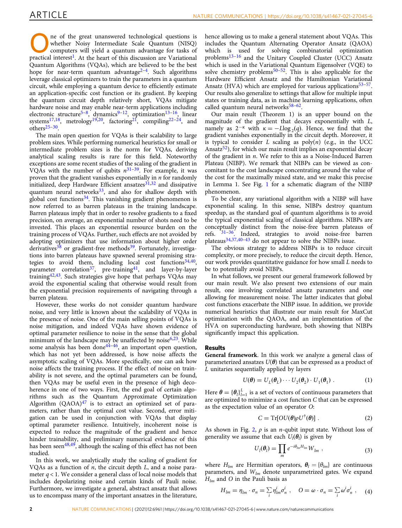<span id="page-1-0"></span>ne of the great unanswered technological questions is whether Noisy Intermediate Scale Quantum (NISQ) computers will yield a quantum advantage for tasks of practical interest<sup>1</sup>. At the heart of this discussion are Variational Quantum Algorithms (VQAs), which are believed to be the best hope for near-term quantum advantage<sup>[2](#page-9-0)-4</sup>. Such algorithms leverage classical optimizers to train the parameters in a quantum circuit, while employing a quantum device to efficiently estimate an application-specific cost function or its gradient. By keeping the quantum circuit depth relatively short, VQAs mitigate hardware noise and may enable near-term applications including electronic structure<sup>[5](#page-9-0)–8</sup>, dynamics<sup>[9](#page-9-0)–12</sup>, optimization<sup>13–16</sup>, linear systems<sup>[17](#page-9-0),18</sup>, metrology<sup>19,20</sup>, factoring<sup>21</sup>, compiling<sup>[22](#page-9-0)-[24](#page-9-0)</sup>, and other[s25](#page-9-0)–[30](#page-9-0).

The main open question for VQAs is their scalability to large problem sizes. While performing numerical heuristics for small or intermediate problem sizes is the norm for VQAs, deriving analytical scaling results is rare for this field. Noteworthy exceptions are some recent studies of the scaling of the gradient in VQAs with the number of qubits  $n^{31-39}$  $n^{31-39}$  $n^{31-39}$  $n^{31-39}$  $n^{31-39}$ . For example, it was proven that the gradient vanishes exponentially in  $n$  for randomly initialized, deep Hardware Efficient ansatzes $31,32$  $31,32$  $31,32$  and dissipative quantum neural networks $33$ , and also for shallow depth with global cost functions $34$ . This vanishing gradient phenomenon is now referred to as barren plateaus in the training landscape. Barren plateaus imply that in order to resolve gradients to a fixed precision, on average, an exponential number of shots need to be invested. This places an exponential resource burden on the training process of VQAs. Further, such effects are not avoided by adopting optimizers that use information about higher order derivatives<sup>[38](#page-9-0)</sup> or gradient-free methods<sup>39</sup>. Fortunately, investigations into barren plateaus have spawned several promising strategies to avoid them, including local cost functions  $34,40$ , parameter correlation<sup>37</sup>, pre-training<sup>41</sup>, and layer-by-layer training[42,43.](#page-9-0) Such strategies give hope that perhaps VQAs may avoid the exponential scaling that otherwise would result from the exponential precision requirements of navigating through a barren plateau.

However, these works do not consider quantum hardware noise, and very little is known about the scalability of VQAs in the presence of noise. One of the main selling points of VQAs is noise mitigation, and indeed VQAs have shown evidence of optimal parameter resilience to noise in the sense that the global minimum of the landscape may be unaffected by noise $6,23$  $6,23$  $6,23$ . While some analysis has been done<sup>44-46</sup>, an important open question, which has not yet been addressed, is how noise affects the asymptotic scaling of VQAs. More specifically, one can ask how noise affects the training process. If the effect of noise on trainability is not severe, and the optimal parameters can be found, then VQAs may be useful even in the presence of high decoherence in one of two ways. First, the end goal of certain algorithms such as the Quantum Approximate Optimization Algorithm  $(QAOA)^{47}$  $(QAOA)^{47}$  $(QAOA)^{47}$  is to extract an optimized set of parameters, rather than the optimal cost value. Second, error mitigation can be used in conjunction with VQAs that display optimal parameter resilience. Intuitively, incoherent noise is expected to reduce the magnitude of the gradient and hence hinder trainability, and preliminary numerical evidence of this has been seen<sup>48,49</sup>, although the scaling of this effect has not been studied.

In this work, we analytically study the scaling of gradient for VQAs as a function of  $n$ , the circuit depth  $L$ , and a noise parameter  $q < 1$ . We consider a general class of local noise models that includes depolarizing noise and certain kinds of Pauli noise. Furthermore, we investigate a general, abstract ansatz that allows us to encompass many of the important ansatzes in the literature,

hence allowing us to make a general statement about VQAs. This includes the Quantum Alternating Operator Ansatz (QAOA) which is used for solving combinatorial optimization problems[13](#page-9-0)–[16](#page-9-0) and the Unitary Coupled Cluster (UCC) Ansatz which is used in the Variational Quantum Eigensolver (VQE) to solve chemistry problems<sup>[50](#page-9-0)–52</sup>. This is also applicable for the Hardware Efficient Ansatz and the Hamiltonian Variational Ansatz (HVA) which are employed for various applications<sup>[53](#page-9-0)–57</sup>. Our results also generalize to settings that allow for multiple input states or training data, as in machine learning applications, often called quantum neural networks $58-62$  $58-62$  $58-62$ .

Our main result (Theorem 1) is an upper bound on the magnitude of the gradient that decays exponentially with L, namely as  $2^{-\kappa}$  with  $\kappa = -L \log_2(q)$ . Hence, we find that the gradient vanishes exponentially in the circuit depth. Moreover, it gradient vanishes exponentially in the circuit depth. Moreover, it is typical to consider  $L$  scaling as  $poly(n)$  (e.g., in the UCC Ansatz $52$ ), for which our main result implies an exponential decay of the gradient in  $n$ . We refer to this as a Noise-Induced Barren Plateau (NIBP). We remark that NIBPs can be viewed as concomitant to the cost landscape concentrating around the value of the cost for the maximally mixed state, and we make this precise in Lemma 1. See Fig. [1](#page-2-0) for a schematic diagram of the NIBP phenomenon.

To be clear, any variational algorithm with a NIBP will have exponential scaling. In this sense, NIBPs destroy quantum speedup, as the standard goal of quantum algorithms is to avoid the typical exponential scaling of classical algorithms. NIBPs are conceptually distinct from the noise-free barren plateaus of refs.  $31-36$  $31-36$  $31-36$ . Indeed, strategies to avoid noise-free barren plateaus[34,37,40](#page-9-0)–[43](#page-9-0) do not appear to solve the NIBPs issue.

The obvious strategy to address NIBPs is to reduce circuit complexity, or more precisely, to reduce the circuit depth. Hence, our work provides quantitative guidance for how small L needs to be to potentially avoid NIBPs.

In what follows, we present our general framework followed by our main result. We also present two extensions of our main result, one involving correlated ansatz parameters and one allowing for measurement noise. The latter indicates that global cost functions exacerbate the NIBP issue. In addition, we provide numerical heuristics that illustrate our main result for MaxCut optimization with the QAOA, and an implementation of the HVA on superconducting hardware, both showing that NIBPs significantly impact this application.

### Results

General framework. In this work we analyze a general class of parameterized ansatzes  $U(\theta)$  that can be expressed as a product of L unitaries sequentially applied by layers

$$
U(\boldsymbol{\theta}) = U_L(\boldsymbol{\theta}_L) \cdots U_2(\boldsymbol{\theta}_2) \cdot U_1(\boldsymbol{\theta}_1) \ . \tag{1}
$$

Here  $\theta = {\theta_l}^L_{l=1}$  is a set of vectors of continuous parameters that are optimized to minimize a cost function C that can be expressed are optimized to minimize a cost function  $C$  that can be expressed as the expectation value of an operator O:

$$
C = \mathrm{Tr}[OU(\boldsymbol{\theta})\rho U^{\dagger}(\boldsymbol{\theta})]. \tag{2}
$$

As shown in Fig. [2,](#page-2-0)  $\rho$  is an *n*-qubit input state. Without loss of generality we assume that each  $U_l(\theta_l)$  is given by

$$
U_l(\boldsymbol{\theta}_l) = \prod_m e^{-i\theta_{lm}H_{lm}} W_{lm} , \qquad (3)
$$

where  $H_{lm}$  are Hermitian operators,  $\theta_l = {\theta_{lm}}$  are continuous parameters, and  $W_{lm}$  denote unparametrized gates. We expand  $H_{lm}$  and O in the Pauli basis as

$$
H_{lm} = \eta_{lm} \cdot \sigma_n = \sum_i \eta_{lm}^i \sigma_n^i \;, \quad O = \omega \cdot \sigma_n = \sum_i \omega^i \sigma_n^i \;, \quad (4)
$$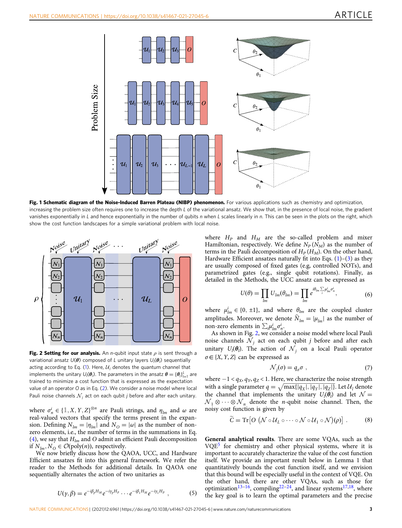<span id="page-2-0"></span>

Fig. 1 Schematic diagram of the Noise-Induced Barren Plateau (NIBP) phenomenon. For various applications such as chemistry and optimization, increasing the problem size often requires one to increase the depth L of the variational ansatz. We show that, in the presence of local noise, the gradient vanishes exponentially in L and hence exponentially in the number of qubits n when L scales linearly in n. This can be seen in the plots on the right, which show the cost function landscapes for a simple variational problem with local noise.



Fig. 2 Setting for our analysis. An *n*-qubit input state  $\rho$  is sent through a variational ansatz  $U(\bm{\theta})$  composed of L unitary layers  $U_l(\bm{\theta}_l)$  sequentially acting according to Eq. ([1\)](#page-1-0). Here,  $U_1$  denotes the quantum channel that implements the unitary  $U_j(\theta_j)$ . The parameters in the ansatz  $\theta = {\theta_j}_{j=1}^l$  are<br>trained to minimize a cost function that is expressed as the expectation trained to minimize a cost function that is expressed as the expectation value of an operator O as in Eq. [\(2](#page-1-0)). We consider a noise model where local Pauli noise channels  $N_i$  act on each qubit j before and after each unitary.

where  $\sigma_n^i \in \{ \mathbb{1}, X, Y, Z \}^{\otimes n}$  are Pauli strings, and  $\eta_{lm}$  and  $\omega$  are real-valued vectors that specify the terms present in the expanreal-valued vectors that specify the terms present in the expansion. Defining  $N_{lm} = |\eta_{lm}|$  and  $N_O = |\omega|$  as the number of nonzero elements, i.e., the number of terms in the summations in Eq. ([4](#page-1-0)), we say that  $H_{lm}$  and O admit an efficient Pauli decomposition if  $N_{lm}, N_O \in \mathcal{O}(\text{poly}(n))$ , respectively.

We now briefly discuss how the QAOA, UCC, and Hardware Efficient ansatzes fit into this general framework. We refer the reader to the Methods for additional details. In QAOA one sequentially alternates the action of two unitaries as

$$
U(\gamma,\beta) = e^{-i\beta_p H_M} e^{-i\gamma_p H_P} \cdots e^{-i\beta_1 H_M} e^{-i\gamma_1 H_P} \quad (5)
$$

where  $H_P$  and  $H_M$  are the so-called problem and mixer Hamiltonian, respectively. We define  $N_P (N_M)$  as the number of terms in the Pauli decomposition of  $H_P(H_M)$ . On the other hand, Hardware Efficient ansatzes naturally fit into Eqs.  $(1)-(3)$  $(1)-(3)$  $(1)-(3)$  $(1)-(3)$  $(1)-(3)$  as they are usually composed of fixed gates (e.g, controlled NOTs), and parametrized gates (e.g., single qubit rotations). Finally, as detailed in the Methods, the UCC ansatz can be expressed as

$$
U(\theta) = \prod_{lm} U_{lm}(\theta_{lm}) = \prod_{lm} e^{i\theta_{lm} \sum_i \mu_{lm}^i \sigma_n^i}, \tag{6}
$$

where  $\mu_{lm}^i \in \{0, \pm 1\}$ , and where  $\theta_{lm}$  are the coupled cluster applitudes. Moreover, we denote  $\hat{M}_{l} = |\mu_{l}|$  is the number of amplitudes. Moreover, we denote  $\widehat{N}_{lm} = |\mu_{lm}|$  as the number of non-zero elements in  $\sum_i \mu_{lm}^i \sigma_n^i$ .

As shown in Fig. 2, we consider a noise model where local Pauli noise channels  $N_j$  act on each qubit j before and after each unitary  $U_l(\theta_l)$ . The action of  $\mathcal{N}_j$  on a local Pauli operator  $\sigma \in \{X, Y, Z\}$  can be expressed as

$$
\mathcal{N}_j(\sigma) = q_{\sigma}\sigma \tag{7}
$$

where  $-1 < q_X, q_Y, q_Z < 1$ . Here, we characterize the noise strength with a single parameter  $q = \sqrt{\max\{ |q_X|, |q_Y|, |q_Z|\}}$ . Let  $U_l$  denote the channel that implements the unitary  $U_l(\theta_l)$  and let  $\mathcal{N} = \mathcal{N} \cup \mathcal{N}$  denote the *n*-qubit noise channel. Then the  $\mathcal{N}_1 \otimes \cdots \otimes \mathcal{N}_n$  denote the *n*-qubit noise channel. Then, the noisy cost function is given by

$$
\widetilde{C} = \mathrm{Tr}\big[O\big(\mathcal{N}\circ\mathcal{U}_L\circ\cdots\circ\mathcal{N}\circ\mathcal{U}_1\circ\mathcal{N}\big)(\rho)\big] \ . \tag{8}
$$

General analytical results. There are some VQAs, such as the VQE[5](#page-9-0) for chemistry and other physical systems, where it is important to accurately characterize the value of the cost function itself. We provide an important result below in Lemma 1 that quantitatively bounds the cost function itself, and we envision that this bound will be especially useful in the context of VQE. On the other hand, there are other VQAs, such as those for optimization<sup>[13](#page-9-0)–[16](#page-9-0)</sup>, compiling<sup>22–24</sup>, and linear systems<sup>17,18</sup>, where the key goal is to learn the optimal parameters and the precise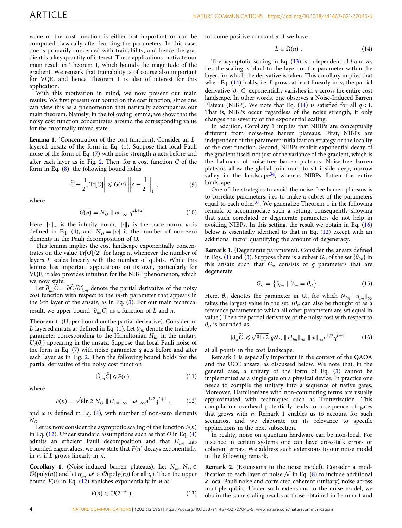value of the cost function is either not important or can be computed classically after learning the parameters. In this case, one is primarily concerned with trainability, and hence the gradient is a key quantity of interest. These applications motivate our main result in Theorem 1, which bounds the magnitude of the gradient. We remark that trainability is of course also important for VQE, and hence Theorem 1 is also of interest for this application.

With this motivation in mind, we now present our main results. We first present our bound on the cost function, since one can view this as a phenomenon that naturally accompanies our main theorem. Namely, in the following lemma, we show that the noisy cost function concentrates around the corresponding value for the maximally mixed state.

Lemma 1. (Concentration of the cost function). Consider an Llayered ansatz of the form in Eq. [\(1\)](#page-1-0). Suppose that local Pauli noise of the form of Eq.  $(7)$  $(7)$  $(7)$  with noise strength q acts before and after each layer as in Fig. [2](#page-2-0). Then, for a cost function  $\tilde{C}$  of the form in Eq. ([8](#page-2-0)), the following bound holds

$$
\left|\widetilde{C} - \frac{1}{2^n} \mathrm{Tr}[O]\right| \leqslant G(n) \left\| \rho - \frac{1}{2^n} \right\|_1, \tag{9}
$$

where

$$
G(n) = N_O \parallel \omega \parallel_{\infty} q^{2L+2} . \tag{10}
$$

Here  $\|\cdot\|_{\infty}$  is the infinity norm,  $\|\cdot\|_{1}$  is the trace norm,  $\omega$  is defined in Eq. ([4](#page-1-0)), and  $N_{\Omega} = |\omega|$  is the number of non-zero elements in the Pauli decomposition of O.

This lemma implies the cost landscape exponentially concentrates on the value  $Tr[O]/2^n$  for large *n*, whenever the number of layers L scales linearly with the number of qubits. While this lemma has important applications on its own, particularly for VQE, it also provides intuition for the NIBP phenomenon, which we now state.

Let  $\partial_{lm}C = \partial C / \partial \theta_{lm}$  denote the partial derivative of the noisy cost function with respect to the  $m$ -th parameter that appears in the  $l$ -th layer of the ansatz, as in Eq.  $(3)$ . For our main technical result, we upper bound  $|\partial_{lm}C|$  as a function of L and n.

Theorem 1. (Upper bound on the partial derivative). Consider an L-layered ansatz as defined in Eq. ([1](#page-1-0)). Let  $\theta_{lm}$  denote the trainable parameter corresponding to the Hamiltonian  $H_{lm}$  in the unitary  $U_l(\theta_l)$  appearing in the ansatz. Suppose that local Pauli noise of the form in Eq. (7) with noise parameter *a* acts before and after the form in Eq.  $(7)$  $(7)$  $(7)$  with noise parameter q acts before and after each layer as in Fig. [2](#page-2-0). Then the following bound holds for the partial derivative of the noisy cost function

$$
|\partial_{lm}\widetilde{C}| \le F(n),\tag{11}
$$

where

$$
F(n) = \sqrt{8\ln 2} N_O ||H_{lm}||_{\infty} ||\omega||_{\infty} n^{1/2} q^{L+1} , \qquad (12)
$$

and  $\omega$  is defined in Eq. [\(4\)](#page-1-0), with number of non-zero elements  $N_{O}$ .

Let us now consider the asymptotic scaling of the function  $F(n)$ in Eq.  $(12)$ . Under standard assumptions such as that O in Eq.  $(4)$  $(4)$  $(4)$ admits an efficient Pauli decomposition and that  $H_{lm}$  has bounded eigenvalues, we now state that  $F(n)$  decays exponentially in  $n$ , if  $L$  grows linearly in  $n$ .

**Corollary 1.** (Noise-induced barren plateaus). Let  $N_{lm}, N_O \in$  $\mathcal{O}(\text{poly}(n))$  and let  $\eta_{lm}^i, \omega^j \in \mathcal{O}(\text{poly}(n))$  for all *i*, *j*. Then the upper<br>bound  $F(n)$  in Eq. (12) vanishes exponentially in *n* as bound  $F(n)$  in Eq. (12) vanishes exponentially in *n* as

$$
F(n) \in \mathcal{O}(2^{-\alpha n}) \tag{13}
$$

for some positive constant  $\alpha$  if we have

$$
L \in \Omega(n) . \tag{14}
$$

The asymptotic scaling in Eq.  $(13)$  is independent of l and m, i.e., the scaling is blind to the layer, or the parameter within the layer, for which the derivative is taken. This corollary implies that when Eq.  $(14)$  holds, i.e. L grows at least linearly in *n*, the partial derivative  $|\partial_{lm}C|$  exponentially vanishes in *n* across the entire cost landscape. In other words, one observes a Noise-Induced Barren Plateau (NIBP). We note that Eq. (14) is satisfied for all  $q < 1$ . That is, NIBPs occur regardless of the noise strength, it only changes the severity of the exponential scaling.

In addition, Corollary 1 implies that NIBPs are conceptually different from noise-free barren plateaus. First, NIBPs are independent of the parameter initialization strategy or the locality of the cost function. Second, NIBPs exhibit exponential decay of the gradient itself; not just of the variance of the gradient, which is the hallmark of noise-free barren plateaus. Noise-free barren plateaus allow the global minimum to sit inside deep, narrow valley in the landscape<sup>34</sup>, whereas NIBPs flatten the entire landscape.

One of the strategies to avoid the noise-free barren plateaus is to correlate parameters, i.e., to make a subset of the parameters equal to each other<sup>37</sup>. We generalize Theorem 1 in the following remark to accommodate such a setting, consequently showing that such correlated or degenerate parameters do not help in avoiding NIBPs. In this setting, the result we obtain in Eq. (16) below is essentially identical to that in Eq. (12) except with an additional factor quantifying the amount of degeneracy.

Remark 1. (Degenerate parameters). Consider the ansatz defined in Eqs. ([1](#page-1-0)) and ([3\)](#page-1-0). Suppose there is a subset  $G_{st}$  of the set  $\{\theta_{lm}\}$  in this ansatz such that  $G_{st}$  consists of g parameters that are degenerate:

$$
G_{st} = \left\{ \theta_{lm} \mid \theta_{lm} = \theta_{st} \right\} . \tag{15}
$$

Here,  $\theta_{st}$  denotes the parameter in  $G_{st}$  for which  $N_{lm} || \eta_{lm} ||_{\infty}$ takes the largest value in the set. ( $\theta_{st}$  can also be thought of as a reference parameter to which all other parameters are set equal in value.) Then the partial derivative of the noisy cost with respect to  $\theta_{st}$  is bounded as

$$
|\partial_{st}\widetilde{C}| \le \sqrt{8\ln 2} gN_0 \|H_{lm}\|_{\infty} \| \omega \|_{\infty} n^{1/2} q^{L+1},
$$
 (16)

at all points in the cost landscape.

Remark 1 is especially important in the context of the QAOA and the UCC ansatz, as discussed below. We note that, in the general case, a unitary of the form of Eq. ([3](#page-1-0)) cannot be implemented as a single gate on a physical device. In practice one needs to compile the unitary into a sequence of native gates. Moreover, Hamiltonians with non-commuting terms are usually approximated with techniques such as Trotterization. This compilation overhead potentially leads to a sequence of gates that grows with  $n$ . Remark 1 enables us to account for such scenarios, and we elaborate on its relevance to specific applications in the next subsection.

In reality, noise on quantum hardware can be non-local. For instance in certain systems one can have cross-talk errors or coherent errors. We address such extensions to our noise model in the following remark.

Remark 2. (Extensions to the noise model). Consider a modification to each layer of noise  $\mathcal N$  in Eq. [\(8\)](#page-2-0) to include additional k-local Pauli noise and correlated coherent (unitary) noise across multiple qubits. Under such extensions to the noise model, we obtain the same scaling results as those obtained in Lemma 1 and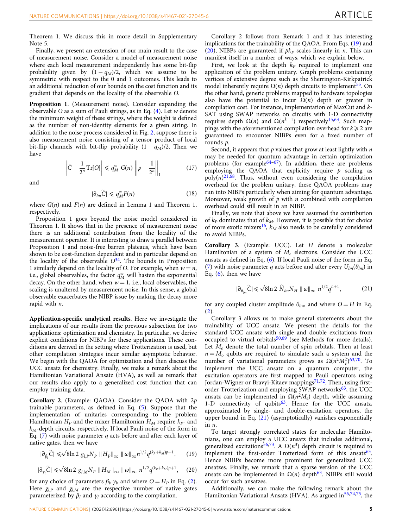Theorem 1. We discuss this in more detail in Supplementary Note 5.

Finally, we present an extension of our main result to the case of measurement noise. Consider a model of measurement noise where each local measurement independently has some bit-flip probability given by  $(1 - q<sub>M</sub>)/2$ , which we assume to be symmetric with respect to the 0 and 1 outcomes. This leads to an additional reduction of our bounds on the cost function and its gradient that depends on the locality of the observable O.

Proposition 1. (Measurement noise). Consider expanding the observable O as a sum of Pauli strings, as in Eq. [\(4\)](#page-1-0). Let w denote the minimum weight of these strings, where the weight is defined as the number of non-identity elements for a given string. In addition to the noise process considered in Fig. [2](#page-2-0), suppose there is also measurement noise consisting of a tensor product of local bit-flip channels with bit-flip probability  $(1 - q_M)/2$ . Then we have

$$
\left|\widetilde{C} - \frac{1}{2^n} \text{Tr}[O]\right| \leq q_M^w \ G(n) \left\| \rho - \frac{1}{2^n} \right\|_1 \tag{17}
$$

and

$$
|\partial_{lm}\widetilde{C}| \leqslant q_M^w F(n) \tag{18}
$$

where  $G(n)$  and  $F(n)$  are defined in Lemma 1 and Theorem 1, respectively.

Proposition 1 goes beyond the noise model considered in Theorem 1. It shows that in the presence of measurement noise there is an additional contribution from the locality of the measurement operator. It is interesting to draw a parallel between Proposition 1 and noise-free barren plateaus, which have been shown to be cost-function dependent and in particular depend on the locality of the observable  $O^{34}$ . The bounds in Proposition 1 similarly depend on the locality of O. For example, when  $w = n$ , i.e., global observables, the factor  $q_M^w$  will hasten the exponential decay. On the other hand, when  $w = 1$ , i.e., local observables, the scaling is unaltered by measurement noise. In this sense, a global observable exacerbates the NIBP issue by making the decay more rapid with *n*.

Application-specific analytical results. Here we investigate the implications of our results from the previous subsection for two applications: optimization and chemistry. In particular, we derive explicit conditions for NIBPs for these applications. These conditions are derived in the setting where Trotterization is used, but other compilation strategies incur similar asymptotic behavior. We begin with the QAOA for optimization and then discuss the UCC ansatz for chemistry. Finally, we make a remark about the Hamiltonian Variational Ansatz (HVA), as well as remark that our results also apply to a generalized cost function that can employ training data.

Corollary 2. (Example: QAOA). Consider the QAOA with 2p trainable parameters, as defined in Eq. ([5\)](#page-2-0). Suppose that the implementation of unitaries corresponding to the problem Hamiltonian  $H_P$  and the mixer Hamiltonian  $H_M$  require  $k_P$ - and  $k_M$ -depth circuits, respectively. If local Pauli noise of the form in Eq. ([7](#page-2-0)) with noise parameter q acts before and after each layer of native gates, then we have

$$
|\partial_{\beta_i}\widetilde{C}| \leq \sqrt{8\ln 2} g_{l,P} N_P \|H_P\|_{\infty} \| \omega \|_{\infty} n^{1/2} q^{(k_P + k_M)p + 1}, \qquad (19)
$$

$$
|\partial_{\gamma_i}\widetilde{C}| \leq \sqrt{8\ln 2} g_{l,M} N_P \|H_M\|_{\infty} \| \omega \|_{\infty} n^{1/2} q^{(k_P + k_M)p + 1}, \quad (20)
$$

for any choice of parameters  $\beta_b$ ,  $\gamma_b$ , and where  $O = H_P$  in Eq. ([2](#page-1-0)). Here  $g_{l,P}$  and  $g_{l,M}$  are the respective number of native gates parameterized by  $\beta_l$  and  $\gamma_l$  according to the compilation.

Corollary 2 follows from Remark 1 and it has interesting implications for the trainability of the QAOA. From Eqs. (19) and (20), NIBPs are guaranteed if  $pk<sub>P</sub>$  scales linearly in *n*. This can manifest itself in a number of ways, which we explain below.

First, we look at the depth  $k_p$  required to implement one application of the problem unitary. Graph problems containing vertices of extensive degree such as the Sherrington-Kirkpatrick model inherently require  $\Omega(n)$  depth circuits to implement<sup>55</sup>. On the other hand, generic problems mapped to hardware topologies also have the potential to incur  $\Omega(n)$  depth or greater in compilation cost. For instance, implementation of MaxCut and k-SAT using SWAP networks on circuits with 1-D connectivity requires depth  $Ω(n)$  and  $Ω(n^{k-1})$  respectively<sup>15,63</sup>. Such mappings with the aforementioned compilation overhead for  $k \geq 2$  are guaranteed to encounter NIBPs even for a fixed number of rounds p.

Second, it appears that  $p$  values that grow at least lightly with  $n$ may be needed for quantum advantage in certain optimization problems (for example $64-67$  $64-67$  $64-67$ ). In addition, there are problems employing the QAOA that explicitly require  $p$  scaling as  $poly(n)^{21,68}$ . Thus, without even considering the compilation overhead for the problem unitary, these QAOA problems may run into NIBPs particularly when aiming for quantum advantage. Moreover, weak growth of  $p$  with  $n$  combined with compilation overhead could still result in an NIBP.

Finally, we note that above we have assumed the contribution of  $k_P$  dominates that of  $k_M$ . However, it is possible that for choice of more exotic mixers<sup>[16](#page-9-0)</sup>,  $k_M$  also needs to be carefully considered to avoid NIBPs.

Corollary 3. (Example: UCC). Let H denote a molecular Hamiltonian of a system of  $M_e$  electrons. Consider the UCC ansatz as defined in Eq. ([6](#page-2-0)). If local Pauli noise of the form in Eq. ([7](#page-2-0)) with noise parameter q acts before and after every  $U_{lm}(\theta_{lm})$  in Eq.  $(6)$ , then we have

$$
|\partial_{\theta_{lm}}\widetilde{C}| \leqslant \sqrt{8\ln 2} \ \widehat{N}_{lm} N_H \parallel \omega \parallel_{\infty} n^{1/2} q^{L+1}, \tag{21}
$$

for any coupled cluster amplitude  $\theta_{lm}$ , and where  $O = H$  in Eq. ([2](#page-1-0)).

Corollary 3 allows us to make general statements about the trainability of UCC ansatz. We present the details for the standard UCC ansatz with single and double excitations from occupied to virtual orbitals $50,69$  $50,69$  $50,69$  (see Methods for more details). Let  $M<sub>o</sub>$  denote the total number of spin orbitals. Then at least  $n = M<sub>o</sub>$  qubits are required to simulate such a system and the number of variational parameters grows as  $\Omega(n^2 M_e^2)^{63,70}$  $\Omega(n^2 M_e^2)^{63,70}$  $\Omega(n^2 M_e^2)^{63,70}$ . To implement the UCC ansatz on a quantum computer, the implement the UCC ansatz on a quantum computer, the excitation operators are first mapped to Pauli operators using Jordan-Wigner or Bravyi-Kitaev mappings<sup>71,72</sup>. Then, using firstorder Trotterization and employing SWAP networks<sup>63</sup>, the UCC ansatz can be implemented in  $\Omega(n^2M_e)$  depth, while assuming 1-D connectivity of qubits $63$ . Hence for the UCC ansatz, approximated by single- and double-excitation operators, the upper bound in Eq.  $(21)$  (asymptotically) vanishes exponentially in n.

To target strongly correlated states for molecular Hamiltonians, one can employ a UCC ansatz that includes additional, generalized excitations<sup>[56](#page-9-0),[73](#page-10-0)</sup>. A  $\Omega(n^3)$  depth circuit is required to implement the first-order Trotterized form of this ansatz<sup>63</sup>. Hence NIBPs become more prominent for generalized UCC ansatzes. Finally, we remark that a sparse version of the UCC ansatz can be implemented in  $\Omega(n)$  depth<sup>63</sup>. NIBPs still would occur for such ansatzes.

Additionally, we can make the following remark about the Hamiltonian Variational Ansatz (HVA). As argued in<sup>[56](#page-9-0),74,75</sup>, the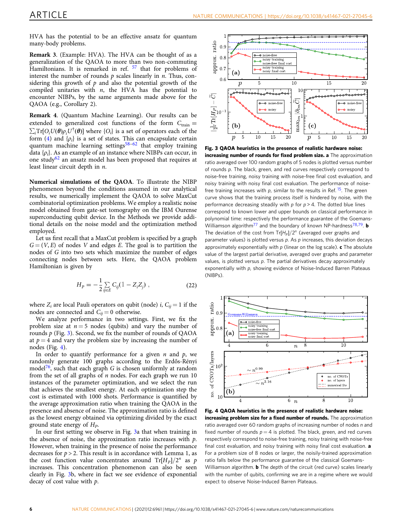<span id="page-5-0"></span>HVA has the potential to be an effective ansatz for quantum many-body problems.

Remark 3. (Example: HVA). The HVA can be thought of as a generalization of the QAOA to more than two non-commuting Hamiltonians. It is remarked in ref. <sup>[57](#page-9-0)</sup> that for problems of interest the number of rounds  $p$  scales linearly in  $n$ . Thus, considering this growth of  $p$  and also the potential growth of the compiled unitaries with  $n$ , the HVA has the potential to encounter NIBPs, by the same arguments made above for the QAOA (e.g., Corollary 2).

Remark 4. (Quantum Machine Learning). Our results can be extended to generalized cost functions of the form  $C_{\text{train}} =$  $\sum_i Tr[O_i U(\theta) \rho_i U^{\dagger}(\theta)]$  where  $\{O_i\}$  is a set of operators each of the form (4) and  $\{o_i\}$  is a set of states. This can encapsulate certain form ([4](#page-1-0)) and  $\{\rho_i\}$  is a set of states. This can encapsulate certain quantum machine learning settings $58-62$  $58-62$  $58-62$  that employ training data  $\{\rho_i\}$ . As an example of an instance where NIBPs can occur, in one study<sup>62</sup> an ansatz model has been proposed that requires at least linear circuit depth in *n*.

Numerical simulations of the QAOA. To illustrate the NIBP phenomenon beyond the conditions assumed in our analytical results, we numerically implement the QAOA to solve MaxCut combinatorial optimization problems. We employ a realistic noise model obtained from gate-set tomography on the IBM Ourense superconducting qubit device. In the Methods we provide additional details on the noise model and the optimization method employed.

Let us first recall that a MaxCut problem is specified by a graph  $G = (V, E)$  of nodes V and edges E. The goal is to partition the nodes of G into two sets which maximize the number of edges connecting nodes between sets. Here, the QAOA problem Hamiltonian is given by

$$
H_P = -\frac{1}{2} \sum_{ij \in E} C_{ij} (1 - Z_i Z_j) , \qquad (22)
$$

where  $Z_i$  are local Pauli operators on qubit (node) i,  $C_{ii} = 1$  if the nodes are connected and  $C_{ii} = 0$  otherwise.

We analyze performance in two settings. First, we fix the problem size at  $n = 5$  nodes (qubits) and vary the number of rounds  $p$  (Fig. 3). Second, we fix the number of rounds of QAOA at  $p = 4$  and vary the problem size by increasing the number of nodes (Fig. 4).

In order to quantify performance for a given  $n$  and  $p$ , we randomly generate 100 graphs according to the Erdős-Rényi model<sup>[76](#page-10-0)</sup>, such that each graph  $G$  is chosen uniformly at random from the set of all graphs of  $n$  nodes. For each graph we run  $10$ instances of the parameter optimization, and we select the run that achieves the smallest energy. At each optimization step the cost is estimated with 1000 shots. Performance is quantified by the average approximation ratio when training the QAOA in the presence and absence of noise. The approximation ratio is defined as the lowest energy obtained via optimizing divided by the exact ground state energy of  $H<sub>p</sub>$ .

In our first setting we observe in Fig. 3a that when training in the absence of noise, the approximation ratio increases with  $p$ . However, when training in the presence of noise the performance decreases for  $p > 2$ . This result is in accordance with Lemma 1, as the cost function value concentrates around  $Tr[H_{P}]/2^{n}$  as p increases. This concentration phenomenon can also be seen clearly in Fig. 3b, where in fact we see evidence of exponential decay of cost value with p.



Fig. 3 QAOA heuristics in the presence of realistic hardware noise: increasing number of rounds for fixed problem size. a The approximation ratio averaged over 100 random graphs of 5 nodes is plotted versus number of rounds p. The black, green, and red curves respectively correspond to noise-free training, noisy training with noise-free final cost evaluation, and noisy training with noisy final cost evaluation. The performance of noisefree training increases with p, similar to the results in Ref.  $15$ . The green curve shows that the training process itself is hindered by noise, with the performance decreasing steadily with  $p$  for  $p > 4$ . The dotted blue lines correspond to known lower and upper bounds on classical performance in polynomial time: respectively the performance guarantee of the Goemans-Williamson algorithm<sup>77</sup> and the boundary of known NP-hardness<sup>78,79</sup>. **b** The deviation of the cost from  $Tr[H_P]/2^n$  (averaged over graphs and parameter values) is plotted versus p. As p increases, this deviation decays approximately exponentially with  $p$  (linear on the log scale).  $c$  The absolute value of the largest partial derivative, averaged over graphs and parameter values, is plotted versus p. The partial derivatives decay approximately exponentially with p, showing evidence of Noise-Induced Barren Plateaus (NIBPs).



Fig. 4 QAOA heuristics in the presence of realistic hardware noise: increasing problem size for a fixed number of rounds. The approximation ratio averaged over 60 random graphs of increasing number of nodes n and fixed number of rounds  $p = 4$  is plotted. The black, green, and red curves respectively correspond to noise-free training, noisy training with noise-free final cost evaluation, and noisy training with noisy final cost evaluation. a For a problem size of 8 nodes or larger, the noisily-trained approximation ratio falls below the performance guarantee of the classical Goemans-Williamson algorithm. **b** The depth of the circuit (red curve) scales linearly with the number of qubits, confirming we are in a regime where we would expect to observe Noise-Induced Barren Plateaus.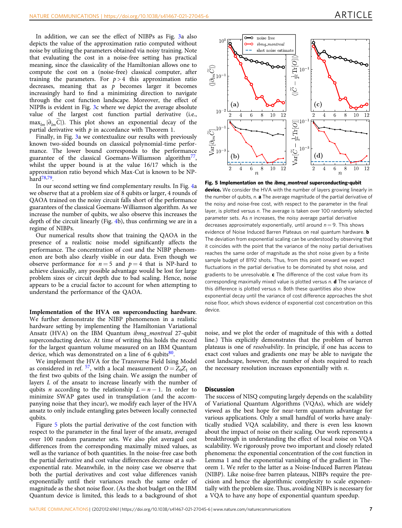In addition, we can see the effect of NIBPs as Fig. [3](#page-5-0)a also depicts the value of the approximation ratio computed without noise by utilizing the parameters obtained via noisy training. Note that evaluating the cost in a noise-free setting has practical meaning, since the classicality of the Hamiltonian allows one to compute the cost on a (noise-free) classical computer, after training the parameters. For  $p > 4$  this approximation ratio decreases, meaning that as  $p$  becomes larger it becomes increasingly hard to find a minimizing direction to navigate through the cost function landscape. Moreover, the effect of NIPBs is evident in Fig. [3](#page-5-0)c where we depict the average absolute value of the largest cost function partial derivative (i.e.,  $\max_{lm} |\partial_{lm}\widetilde{C}|$ ). This plot shows an exponential decay of the partial derivative with  $p$  in accordance with Theorem 1.

Finally, in Fig. [3a](#page-5-0) we contextualize our results with previously known two-sided bounds on classical polynomial-time performance. The lower bound corresponds to the performance guarantee of the classical Goemans-Williamson algorithm<sup>77</sup>, whilst the upper bound is at the value 16/17 which is the approximation ratio beyond which Max-Cut is known to be NPhard<sup>78,79</sup>.

In our second setting we find complementary results. In Fig. [4a](#page-5-0) we observe that at a problem size of 8 qubits or larger, 4 rounds of QAOA trained on the noisy circuit falls short of the performance guarantees of the classical Goemans-Williamson algorithm. As we increase the number of qubits, we also observe this increases the depth of the circuit linearly (Fig. [4](#page-5-0)b), thus confirming we are in a regime of NIBPs.

Our numerical results show that training the QAOA in the presence of a realistic noise model significantly affects the performance. The concentration of cost and the NIBP phenomenon are both also clearly visible in our data. Even though we observe performance for  $n = 5$  and  $p = 4$  that is NP-hard to achieve classically, any possible advantage would be lost for large problem sizes or circuit depth due to bad scaling. Hence, noise appears to be a crucial factor to account for when attempting to understand the performance of the QAOA.

Implementation of the HVA on superconducting hardware. We further demonstrate the NIBP phenomenon in a realistic hardware setting by implementing the Hamiltonian Variational Ansatz (HVA) on the IBM Quantum ibmq\_montreal 27-qubit superconducting device. At time of writing this holds the record for the largest quantum volume measured on an IBM Quantum device, which was demonstrated on a line of 6 qubits $80$ .

We implement the HVA for the Transverse Field Ising Model as considered in ref. <sup>[57](#page-9-0)</sup>, with a local measurement  $O = Z_0Z_1$  on the first two qubits of the Ising chain. We assign the number of layers L of the ansatz to increase linearly with the number of qubits *n* according to the relationship  $L = n - 1$ . In order to minimize SWAP gates used in transpilation (and the accompanying noise that they incur), we modify each layer of the HVA ansatz to only include entangling gates between locally connected qubits.

Figure 5 plots the partial derivative of the cost function with respect to the parameter in the final layer of the ansatz, averaged over 100 random parameter sets. We also plot averaged cost differences from the corresponding maximally mixed values, as well as the variance of both quantities. In the noise-free case both the partial derivative and cost value differences decrease at a subexponential rate. Meanwhile, in the noisy case we observe that both the partial derivatives and cost value differences vanish exponentially until their variances reach the same order of magnitude as the shot noise floor. (As the shot budget on the IBM Quantum device is limited, this leads to a background of shot



Fig. 5 Implementation on the ibmq\_montreal superconducting-qubit device. We consider the HVA with the number of layers growing linearly in the number of qubits,  $n$ . **a** The average magnitude of the partial derivative of the noisy and noise-free cost, with respect to the parameter in the final layer, is plotted versus n. The average is taken over 100 randomly selected parameter sets. As n increases, the noisy average partial derivative decreases approximately exponentially, until around  $n = 9$ . This shows evidence of Noise Induced Barren Plateaus on real quantum hardware. **b** The deviation from exponential scaling can be understood by observing that it coincides with the point that the variance of the noisy partial derivatives reaches the same order of magnitude as the shot noise given by a finite sample budget of 8192 shots. Thus, from this point onward we expect fluctuations in the partial derivative to be dominated by shot noise, and gradients to be unresolvable.  $c$  The difference of the cost value from its corresponding maximally mixed value is plotted versus  $n$ .  $d$  The variance of this difference is plotted versus n. Both these quantities also show exponential decay until the variance of cost difference approaches the shot noise floor, which shows evidence of exponential cost concentration on this device.

noise, and we plot the order of magnitude of this with a dotted line.) This explicitly demonstrates that the problem of barren plateaus is one of resolvability. In principle, if one has access to exact cost values and gradients one may be able to navigate the cost landscape, however, the number of shots required to reach the necessary resolution increases exponentially with  $n$ .

### **Discussion**

The success of NISQ computing largely depends on the scalability of Variational Quantum Algorithms (VQAs), which are widely viewed as the best hope for near-term quantum advantage for various applications. Only a small handful of works have analytically studied VQA scalability, and there is even less known about the impact of noise on their scaling. Our work represents a breakthrough in understanding the effect of local noise on VQA scalability. We rigorously prove two important and closely related phenomena: the exponential concentration of the cost function in Lemma 1 and the exponential vanishing of the gradient in Theorem 1. We refer to the latter as a Noise-Induced Barren Plateau (NIBP). Like noise-free barren plateaus, NIBPs require the precision and hence the algorithmic complexity to scale exponentially with the problem size. Thus, avoiding NIBPs is necessary for a VQA to have any hope of exponential quantum speedup.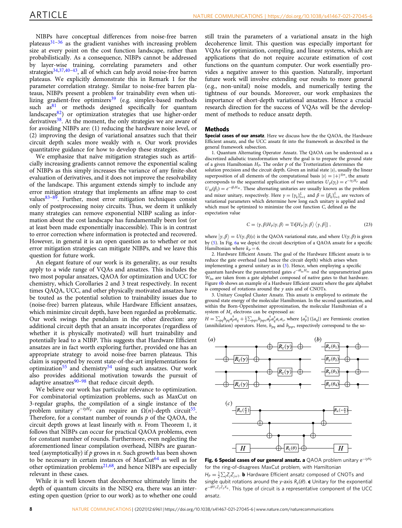<span id="page-7-0"></span>NIBPs have conceptual differences from noise-free barren plateaus $31-36$  $31-36$  $31-36$  as the gradient vanishes with increasing problem size at every point on the cost function landscape, rather than probabilistically. As a consequence, NIBPs cannot be addressed by layer-wise training, correlating parameters and other strategies[34,37,40](#page-9-0)–[43,](#page-9-0) all of which can help avoid noise-free barren plateaus. We explicitly demonstrate this in Remark 1 for the parameter correlation strategy. Similar to noise-free barren plateaus, NIBPs present a problem for trainability even when uti-lizing gradient-free optimizers<sup>[39](#page-9-0)</sup> (e.g. simplex-based methods such  $as<sup>81</sup>$  $as<sup>81</sup>$  $as<sup>81</sup>$  or methods designed specifically for quantum landscapes[82](#page-10-0)) or optimization strategies that use higher-order derivatives<sup>[38](#page-9-0)</sup>. At the moment, the only strategies we are aware of for avoiding NIBPs are: (1) reducing the hardware noise level, or (2) improving the design of variational ansatzes such that their circuit depth scales more weakly with  $n$ . Our work provides quantitative guidance for how to develop these strategies.

We emphasize that naïve mitigation strategies such as artificially increasing gradients cannot remove the exponential scaling of NIBPs as this simply increases the variance of any finite-shot evaluation of derivatives, and it does not improve the resolvability of the landscape. This argument extends simply to include any error mitigation strategy that implements an affine map to cost values $83-89$  $83-89$  $83-89$ . Further, most error mitigation techniques consist only of postprocessing noisy circuits. Thus, we deem it unlikely many strategies can remove exponential NIBP scaling as information about the cost landscape has fundamentally been lost (or at least been made exponentially inaccessible). This is in contrast to error correction where information is protected and recovered. However, in general it is an open question as to whether or not error mitigation strategies can mitigate NIBPs, and we leave this question for future work.

An elegant feature of our work is its generality, as our results apply to a wide range of VQAs and ansatzes. This includes the two most popular ansatzes, QAOA for optimization and UCC for chemistry, which Corollaries 2 and 3 treat respectively. In recent times QAQA, UCC, and other physically motivated ansatzes have be touted as the potential solution to trainability issues due to (noise-free) barren plateaus, while Hardware Efficient ansatzes, which minimize circuit depth, have been regarded as problematic. Our work swings the pendulum in the other direction: any additional circuit depth that an ansatz incorporates (regardless of whether it is physically motivated) will hurt trainability and potentially lead to a NIBP. This suggests that Hardware Efficient ansatzes are in fact worth exploring further, provided one has an appropriate strategy to avoid noise-free barren plateaus. This claim is supported by recent state-of-the-art implementations for optimization<sup>[55](#page-9-0)</sup> and chemistry<sup>[54](#page-9-0)</sup> using such ansatzes. Our work also provides additional motivation towards the pursuit of adaptive ansatzes $90-98$  $90-98$  $90-98$  that reduce circuit depth.

We believe our work has particular relevance to optimization. For combinatorial optimization problems, such as MaxCut on 3-regular graphs, the compilation of a single instance of the problem unitary  $e^{-iyH_p}$  can require an  $\Omega(n)$ -depth circuit<sup>55</sup>. Therefore, for a constant number of rounds  $p$  of the QAOA, the circuit depth grows at least linearly with  $n$ . From Theorem 1, it follows that NIBPs can occur for practical QAOA problems, even for constant number of rounds. Furthermore, even neglecting the aforementioned linear compilation overhead, NIBPs are guaranteed (asymptotically) if  $p$  grows in  $n$ . Such growth has been shown to be necessary in certain instances of MaxCut<sup>[64](#page-9-0)</sup> as well as for other optimization problems<sup>[21](#page-9-0),68</sup>, and hence NIBPs are especially relevant in these cases.

While it is well known that decoherence ultimately limits the depth of quantum circuits in the NISQ era, there was an interesting open question (prior to our work) as to whether one could still train the parameters of a variational ansatz in the high decoherence limit. This question was especially important for VQAs for optimization, compiling, and linear systems, which are applications that do not require accurate estimation of cost functions on the quantum computer. Our work essentially provides a negative answer to this question. Naturally, important future work will involve extending our results to more general (e.g., non-unital) noise models, and numerically testing the tightness of our bounds. Moreover, our work emphasizes the importance of short-depth variational ansatzes. Hence a crucial research direction for the success of VQAs will be the development of methods to reduce ansatz depth.

### Methods

Special cases of our ansatz. Here we discuss how the the QAOA, the Hardware Efficient ansatz, and the UCC ansatz fit into the framework as described in the general framework subsection.

1. Quantum Alternating Operator Ansatz. The QAOA can be understood as a discretized adiabatic transformation where the goal is to prepare the ground state of a given Hamiltonian  $H<sub>P</sub>$ . The order p of the Trotterization determines the solution precision and the circuit depth. Given an initial state  $|s\rangle$ , usually the linear superposition of all elements of the computational basis  $|s\rangle = |+\rangle^{\otimes n}$ , the ansatz corresponds to the sequential application of two unitaries  $U_p(y_l) = e^{-iy_lH_p}$  and  $U_p(B) = e^{-i\beta_lH_M}$ . These alternating unitaries are usually known as the problem  $U_M(\beta_i) = e^{-i\beta_i H_M}$ . These alternating unitaries are usually known as the problem<br>and mixor unitary respectively. Here  $u = (u)^L$  and  $\beta = (\beta_i)^L$  are vectors of and mixer unitary, respectively. Here  $\gamma = {\{\gamma_k\}}_{l=1}^L$  and  $\beta = {\{\beta_k\}}_{l=1}^L$  are vectors of variational parameters which determine how long each unitary is applied and variational parameters which determine how long each unitary is applied and which must be optimized to minimize the cost function C, defined as the expectation value

$$
C = \langle \gamma, \beta | H_P | \gamma, \beta \rangle = \mathrm{Tr}[H_P | \gamma, \beta \rangle \langle \gamma, \beta |], \qquad (23)
$$

where  $|\gamma, \beta\rangle = U(\gamma, \beta)|s\rangle$  is the QAOA variational state, and where  $U(\gamma, \beta)$  is given<br>by (5) In Fig. 63 we denict the circuit description of a OAOA ansatz for a specific by ([5](#page-2-0)). In Fig. 6a we depict the circuit description of a QAOA ansatz for a specific Hamiltonian where  $k_P = 6$ .

2. Hardware Efficient Ansatz. The goal of the Hardware Efficient ansatz is to reduce the gate overhead (and hence the circuit depth) which arises when implementing a general unitary as in [\(3\)](#page-1-0). Hence, when employing a specific quantum hardware the parametrized gates  $e^{-i\theta_{lm}H_{lm}}$  and the unparametrized gates  $W_{lm}$  are taken from a gate alphabet composed of native gates to that hardware. Figure 6b shows an example of a Hardware Efficient ansatz where the gate alphabet is composed of rotations around the  $y$  axis and of CNOTs.

3. Unitary Coupled Cluster Ansatz. This ansatz is employed to estimate the ground state energy of the molecular Hamiltonian. In the second quantization, and within the Born-Oppenheimer approximation, the molecular Hamiltonian of a system of  $M_e$  electrons can be expressed as:

 $H = \sum_{pq} h_{pq} a_p^{\dagger} a_q + \frac{1}{2} \sum_{pqrs} h_{pqrs} a_p^{\dagger} a_q^{\dagger} a_r a_s$ , where  $\{a_p^{\dagger}\}\ (a_q\)$  are Fermionic creation (annihilation) operators. Here,  $h_{pq}$  and  $h_{pqrs}$  respectively correspond to the so-



Fig. 6 Special cases of our general ansatz. a QAOA problem unitary  $e^{-iyH}$ for the ring-of-disagrees MaxCut problem, with Hamiltonian  $H_P = \frac{1}{2} \sum_j Z_j Z_{j+1}$ . **b** Hardware Efficient ansatz composed of CNOTs and single qubit retations around the varial  $\theta$  (d) a Unitary for the expansional single qubit rotations around the y-axis  $R_y(\theta)$ . c Unitary for the exponential  $e^{-i\theta Y_1 Z_2 Z_3 X_4}$ . This type of circuit is a representative component of the UCC ansatz.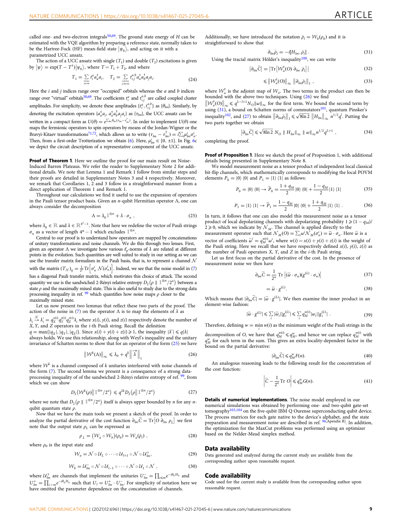The action of a UCC ansatz with single  $(T_1)$  and double  $(T_2)$  excitations is given by  $|\psi\rangle = \exp(T - T^{\dagger}) |\psi_0\rangle$ , where  $T = T_1 + T_2$ , and where

$$
T_1 = \sum_{\substack{i \in \text{occ} \\ a \in \text{vir}}} t_i^a a_a^\dagger a_i, \quad T_2 = \sum_{\substack{i, j \in \text{occ} \\ a, b \in \text{vir}}} t_{ij}^{a,b} a_a^\dagger a_b^\dagger a_j a_i. \tag{24}
$$

Here the  $i$  and  $j$  indices range over "occupied" orbitals whereas the  $a$  and  $b$  indices range over "virtual" orbitals<sup>50,69</sup>. The coefficients  $t_i^a$  and  $t_{i,j}^{a,b}$  are called coupled cluster amplitudes. For simplicity, we denote these amplitudes  $\{t_i^a, t_{i,j}^{a,b}\}$  as  $\{\theta_{lm}\}$ . Similarly, by denoting the excitation operators  $\{a_a^{\dagger}a_i, a_a^{\dagger}a_b^{\dagger}a_ja_i\}$  as  $\{\tau_{lm}\}$ , the UCC ansatz can be written in a compact form as  $U(\theta) = e^{\sum_{lm} \theta_{lm} (\tau_{lm} - \tau_{lm}^l)}$ <br>maps the fermionic operators to spin operators by r written in a compact form as  $U(\theta) = e^{\sum_{im} \eta_{im} \tau_{im} - \tau_{im}}$ . In order to implement  $U(\theta)$  one maps the fermionic operators to spin operators by means of the Jordan-Wigner or the Bravyi-Kitaev transformations<sup>71,72</sup>, which allows us to write  $(\tau_{lm} - \tau_{lm}^{\dagger}) = i\sum_i \mu_{lm}^i \sigma_n^i$ .<br>Then, from a first order Trotterization we obtain (6) Here,  $\mu^i = (0, +1)$ . In Fig. 60 Then, from a first-order Trotterization we obtain [\(6](#page-2-0)). Here,  $\mu_{lm}^i \in \{0, \pm 1\}$ . In Fig. [6c](#page-7-0)<br>we depict the circuit description of a representative component of the UCC apsatz we depict the circuit description of a representative component of the UCC ansatz.

Proof of Theorem 1. Here we outline the proof for our main result on Noise-Induced Barren Plateaus. We refer the reader to Supplementary Note 2 for additional details. We note that Lemma 1 and Remark 1 follow from similar steps and their proofs are detailed in Supplementary Notes 3 and 4 respectively. Moreover, we remark that Corollaries 1, 2 and 3 follow in a straightforward manner from a direct application of Theorem 1 and Remark 1.

Throughout our calculations we find it useful to use the expansion of operators in the Pauli tensor product basis. Given an  $n$ -qubit Hermitian operator  $\Lambda$ , one can always consider the decomposition

$$
\Lambda = \lambda_0 \mathbb{1}^{\otimes n} + \lambda \cdot \sigma_n , \qquad (25)
$$

where  $\lambda_0 \in \mathbb{R}$  and  $\lambda \in \mathbb{R}^{4^n-1}$ . Note that here we redefine the vector of Pauli strings  $\sigma$ , as a vector of length  $A^n - 1$  which excludes  $1^{\otimes n}$  $\sigma_n$  as a vector of length  $4^n - 1$  which excludes  $1^{\otimes n}$ .

Central to our proof is to understand how operators are mapped by concatenations of unitary transformations and noise channels. We do this through two lenses. First, given an operator  $\Lambda$  we investigate how various  $\ell_p$ -norms of  $\lambda$  are related at different points in the evolution. Such quantities are well suited to study in our setting as we can use the transfer matrix formalism in the Pauli basis, that is, to represent a channel  ${\cal N}$ with the matrix  $(T_N)_{ij} = \frac{1}{2^n} \text{Tr} \left[ \sigma_n^i \mathcal{N}(\sigma_n^j) \right]$ . Indeed, we see that the noise model in ([7](#page-2-0)) has a diagonal Pauli transfer matrix, which motivates this choice of attack. The second quantity we use is the sandwiched 2-Rényi relative entropy  $D_2(\rho \parallel \mathbb{1}^{\otimes n}/2^n)$  between a<br>state a and the maximally mixed state. This is also useful to study due to the strong data state  $\rho$  and the maximally mixed state. This is also useful to study due to the strong data processing inequality in ref.  $\frac{99}{2}$  $\frac{99}{2}$  $\frac{99}{2}$  which quantifies how noise maps  $\rho$  closer to the maximally mixed state.

Let us now present two lemmas that reflect these two parts of the proof. The action of the noise in ([7](#page-2-0)) on the operator  $\Lambda$  is to map the elements of  $\lambda$  as

 $\lambda_i \stackrel{\mathcal{N}}{\rightarrow} \lambda'_i = q_{X}^{x(i)} q_{Y}^{y(i)} q_{Z}^{z(i)} \lambda_i$  where  $x(i)$ ,  $y(i)$ , and  $z(i)$  respectively denote the number of  $X$   $Y$  and  $Z$  onerators in the *i*-th Pauli string. Recall the definition  $X$ ,  $Y$ , and  $Z$  operators in the *i*-th Pauli string. Recall the definition

 $q = \max\{|q_X|, |q_Y|, |q_Z|\}$ . Since  $x(i) + y(i) + z(i) \ge 1$ , the inequality  $|\lambda'| \le q|\lambda|$ <br>always holds. We use this relationship, along with Weyl's inequality and the un always holds. We use this relationship, along with Weyl's inequality and the unitary invariance of Schatten norms to show that for an operator of the form (25) we have

$$
\left\| \mathcal{W}^k(\Lambda) \right\|_{\infty} \le \lambda_0 + q^k \left\| \overrightarrow{\lambda} \right\|_{1} \tag{26}
$$

where  $\mathcal{W}^k$  is a channel composed of k unitaries interleaved with noise channels of the form [\(7\)](#page-2-0). The second lemma we present is a consequence of a strong data-processing inequality of of the sandwiched 2-Rényi relative entropy of ref. <sup>[99](#page-10-0)</sup>, from which we can show

$$
D_2(\mathcal{W}^k(\rho)\|\mathbb{1}^{\otimes n}/2^n) \leq q^{2k} D_2(\rho\|\mathbb{1}^{\otimes n}/2^n) \tag{27}
$$

where we note that  $D_2(\rho \parallel 1^{\otimes n}/2^n)$  itself is always upper bounded by *n* for any *n*qubit quantum state  $\rho$ .

Now that we have the main tools we present a sketch of the proof. In order to analyze the partial derivative of the cost function  $\partial_{lm}\tilde{C} = \text{Tr} \left[ O \partial_{lm} \rho_L \right]$  we first note that the output state  $\rho_L$  can be expressed as

$$
\rho_L = (\mathcal{W}_a \circ \mathcal{W}_b)(\rho_0) = \mathcal{W}_a(\bar{\rho}_l) , \qquad (28)
$$

where  $\rho_0$  is the input state and

$$
\mathcal{W}_a = \mathcal{N} \circ \mathcal{U}_L \circ \cdots \circ \mathcal{U}_{l+1} \circ \mathcal{N} \circ \mathcal{U}_{lm}^+, \tag{29}
$$

$$
\mathcal{W}_b = \mathcal{U}_{lm}^- \circ \mathcal{N} \circ \mathcal{U}_{l-1} \circ \cdots \circ \mathcal{N} \circ \mathcal{U}_1 \circ \mathcal{N} , \qquad (30)
$$

where  $\mathcal{U}_{lm}^{\pm}$  are channels that implement the unitaries  $U_{lm}^{\pm} = \prod_{s \leq m} e^{-i\theta_b H_b}$  and  $U^{\pm} = \prod_{s \leq m} e^{-i\theta_b H_b}$  and  $U_{lm}^{\dagger} = \prod_{s>m} e^{-i\theta_b H_b}$  such that  $U_l = U_{lm}^{\dagger} \cdot U_{lm}^-$ . For simplicity of notation here we have omitted the parameter dependence on the concatenation of channels.

Additionally, we have introduced the notation  $\bar{\rho}_l = \mathcal{W}_h(\rho_0)$  and it is straightforward to show that

$$
\partial_{lm}\bar{\rho}_l = -i[H_{lm}, \bar{\rho}_l].
$$
\nUsing the tracial matrix Hölder's inequality<sup>100</sup>, we can write

\n
$$
\tag{31}
$$

$$
\left|\partial_{lm}\widetilde{C}\right| = \left|\operatorname{Tr}\left[\mathcal{W}_a^{\dagger}(O) \; \partial_{lm} \; \bar{\rho}_l\right]\right| \tag{32}
$$

$$
\leqslant \left\| \mathcal{W}_a^{\dagger}(O) \right\|_{\infty} \left\| \partial_{lm} \bar{\rho}_l \right\|_{1}, \tag{33}
$$

where  $W_a^{\dagger}$  is the adjoint map of  $W_a$ . The two terms in the product can then be bounded with the above two techniques. Using (26) we find

 $\left\| \mathcal{W}_a^{\dagger}(\mathbf{0}) \right\|_{\infty} \leq q^{L-l+1} N_{\mathbf{0}} \| \omega \|_{\infty}$  for the first term. We bound the second term by using (31) a bound on Schatten norms of commutators<sup>101</sup> quantum Pinsker's using  $(31)$ , a bound on Schatten norms of commutators<sup>[101](#page-10-0)</sup>, quantum Pinsker's inequality<sup>102</sup>, and (27) to obtain  $\left\|\partial_{lm}\bar{\rho}_l\right\|_1 \leq \sqrt{8\ln 2} \left\|H_{lm}\right\|_{\infty} n^{1/2} q^l$ . Putting the two parts together we obtain two parts together we obtain

$$
\left|\partial_{lm}\widetilde{C}\right| \leqslant \sqrt{8\ln 2} N_O \parallel H_{lm}\parallel_{\infty} \parallel \omega \parallel_{\infty} n^{1/2} q^{L+1} , \qquad (34)
$$

completing the proof.

**Proof of Proposition 1.** Here we sketch the proof of Proposition 1, with additional details being presented in Supplementary Note 8.

We model measurement noise as a tensor product of independent local classical bit-flip channels, which mathematically corresponds to modifying the local POVM elements  $P_0 = |0\rangle \langle 0|$  and  $P_1 = |1\rangle \langle 1|$  as follows:

$$
P_0 = |0\rangle\langle 0| \rightarrow \widetilde{P}_0 = \frac{1+q_M}{2}|0\rangle\langle 0| + \frac{1-q_M}{2}|1\rangle\langle 1|
$$
 (35)

$$
P_1 = |1\rangle\langle 1| \rightarrow \widetilde{P}_1 = \frac{1 - q_M}{2}|0\rangle\langle 0| + \frac{1 + q_M}{2}|1\rangle\langle 1| \ . \tag{36}
$$

In turn, it follows that one can also model this measurement noise as a tensor product of local depolarizing channels with depolarizing probability  $1 \geq (1 - q_M)$ /  $2 \ge 0$ , which we indicate by  $\mathcal{N}_M$ . The channel is applied directly to the measurement operator such that  $\mathcal{N}_M(O) = \sum_i \omega^i \mathcal{N}_M(\sigma^i_n) = \tilde{\omega} \cdot \sigma_n$ . Here  $\tilde{\omega}$  is a theoretic significantly  $\tilde{\omega}^i = \omega^{w(i)} \omega^i$  where  $w(i) = w(i) + \sigma(i)$  is the visible vector of coefficients  $\widetilde{\omega}^i = q_{\mathcal{M}}^{w(i)} \omega^i$ , where  $w(i) = x(i) + y(i) + z(i)$  is the weight of the Pauli string. Here we recall that we have respectively defined  $x(i)$ ,  $y(i)$ ,  $z(i)$  a the Pauli string. Here we recall that we have respectively defined  $x(i)$ ,  $y(i)$ ,  $z(i)$  as the number of Pauli operators  $X$ ,  $Y$ , and  $Z$  in the  $i$ -th Pauli string.

Let us first focus on the partial derivative of the cost. In the presence of measurement noise we then have

$$
\partial_{lm}\widetilde{C} = \frac{1}{2^n} \operatorname{Tr} \left[ (\widetilde{\omega} \cdot \sigma_n)(g^{(L)} \cdot \sigma_n) \right] \tag{37}
$$

$$
=\widetilde{\omega}\cdot g^{(L)}.\tag{38}
$$

Which means that  $|\partial_{lm}C| = |\tilde{\omega} \cdot g^{(L)}|$ . We then examine the inner product in an element-wise fashion: element-wise fashion:

$$
|\widetilde{\omega} \cdot g^{(L)}| \leq \sum_{i} |\widetilde{\omega}_i| |g_i^{(L)}| \leq \sum_{i} q_M^{w(i)} |\omega_i| |g_i^{(L)}| \tag{39}
$$

Therefore, defining  $w = \min w(i)$  as the minimum weight of the Pauli strings in the

decomposition of O, we have that  $q_M^{w(i)} \leq q_M^w$ , and hence we can replace  $q_M^{w(i)}$  with  $q^w_M$  for each term in the sum. This gives an extra locality-dependent factor in the bound on the partial derivative:

$$
|\partial_{lm}\tilde{C}| \leqslant q_M^w F(n). \tag{40}
$$

 $|\partial_{lm}\widetilde{C}| \leqslant q_M^w F(n).$ <br>An analogous reasoning leads to the following result for the concentration of the cost function:

$$
\left|\widetilde{C} - \frac{1}{2^n} \operatorname{Tr} O\right| \leqslant q_M^w G(n). \tag{41}
$$

Details of numerical implementations. The noise model employed in our numerical simulations was obtained by performing one- and two-qubit gate-set tomography<sup>[103,104](#page-10-0)</sup> on the five-qubit IBM Q Ourense superconducting qubit device. The process matrices for each gate native to the device's alphabet, and the state preparation and measurement noise are described in ref. [96](#page-10-0),Apendix B]. In addition, the optimization for the MaxCut problems was performed using an optimizer based on the Nelder-Mead simplex method.

### Data availability

Data generated and analyzed during the current study are available from the corresponding author upon reasonable request.

### Code availability

Code used for the current study is available from the corresponding author upon reasonable request.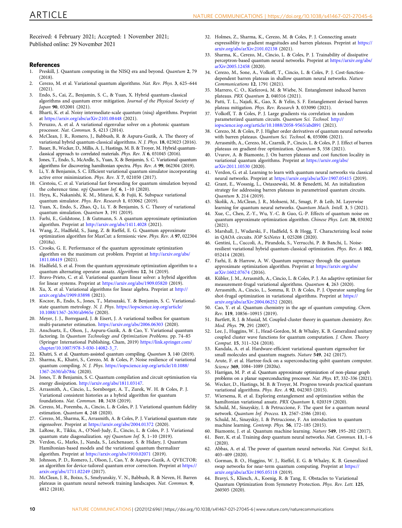<span id="page-9-0"></span>Received: 4 February 2021; Accepted: 1 November 2021; Published online: 29 November 2021

### References

- 1. Preskill, J. Quantum computing in the NISQ era and beyond. Quantum 2, 79  $(2018)$
- 2. Cerezo, M. et al. Variational quantum algorithms. Nat. Rev. Phys. 3, 625–644 (2021).
- 3. Endo, S., Cai, Z., Benjamin, S. C., & Yuan, X. Hybrid quantum-classical algorithms and quantum error mitigation. Journal of the Physical Society of Japan 90, 032001 (2021).
- 4. Bharti, K. et al. Noisy intermediate-scale quantum (nisq) algorithms. Preprint at <https://arxiv.org/abs/arXiv:2101.08448> (2021).
- 5. Peruzzo, A. et al. A variational eigenvalue solver on a photonic quantum processor. Nat. Commun. 5, 4213 (2014).
- 6. McClean, J. R., Romero, J., Babbush, R. & Aspuru-Guzik, A. The theory of variational hybrid quantum-classical algorithms. N. J. Phys. 18, 023023 (2016).
- 7. Bauer, B., Wecker, D., Millis, A. J., Hastings, M. B. & Troyer, M. Hybrid quantumclassical approach to correlated materials. Phys. Rev. X 6, 031045 (2016).
- 8. Jones, T., Endo, S., McArdle, S., Yuan, X. & Benjamin, S. C. Variational quantum algorithms for discovering hamiltonian spectra. Phys. Rev. A 99, 062304 (2019).
- 9. Li, Y. & Benjamin, S. C. Efficient variational quantum simulator incorporating active error minimization. Phys. Rev. X 7, 021050 (2017).
- 10. Cirstoiu, C. et al. Variational fast forwarding for quantum simulation beyond the coherence time. npj Quantum Inf. 6, 1-10 (2020).
- 11. Heya, K., Nakanishi, K. M., Mitarai, K. & Fujii, K. Subspace variational quantum simulator. Phys. Rev. Research 1, 033062 (2019).
- 12. Yuan, X., Endo, S., Zhao, Q., Li, Y. & Benjamin, S. C. Theory of variational quantum simulation. Quantum 3, 191 (2019).
- 13. Farhi, E., Goldstone, J. & Gutmann, S. A quantum approximate optimization algorithm. Preprint at <http://arxiv.org/abs/1411.4028> (2021).
- 14. Wang, Z., Hadfield, S., Jiang, Z. & Rieffel, E. G. Quantum approximate optimization algorithm for MaxCut: a fermionic view. Phys. Rev. A 97, 022304 (2018a).
- 15. Crooks, G. E. Performance of the quantum approximate optimization algorithm on the maximum cut problem. Preprint at [http://arxiv.org/abs/](http://arxiv.org/abs/1811.08419) [1811.08419](http://arxiv.org/abs/1811.08419) (2021).
- 16. Hadfield, S. et al. From the quantum approximate optimization algorithm to a quantum alternating operator ansatz. Algorithms 12, 34 (2019).
- 17. Bravo-Prieto, C. et al. Variational quantum linear solver: a hybrid algorithm for linear systems. Preprint at <https://arxiv.org/abs/1909.05820> (2019).
- 18. Xu, X. et al. Variational algorithms for linear algebra. Preprint at [http://](http://arxiv.org/abs/1909.03898) [arxiv.org/abs/1909.03898](http://arxiv.org/abs/1909.03898) (2021).
- Koczor, B., Endo, S., Jones, T., Matsuzaki, Y. & Benjamin, S. C. Variationalstate quantum metrology. N. J. Phys. [https://iopscience.iop.org/article/](https://iopscience.iop.org/article/10.1088/1367-2630/ab965e) [10.1088/1367-2630/ab965e](https://iopscience.iop.org/article/10.1088/1367-2630/ab965e) (2020).
- 20. Meyer, J. J., Borregaard, J. & Eisert, J. A variational toolbox for quantum multi-parameter estimation. <https://arxiv.org/abs/2006.06303> (2020).
- 21. Anschuetz, E., Olson, J., Aspuru-Guzik, A. & Cao, Y. Variational quantum factoring. In Quantum Technology and Optimization Problems. pp. 74–85 (Springer International Publishing, Cham, 2019) [https://link.springer.com/](https://link.springer.com/chapter/10.1007/978-3-030-14082-3_7) [chapter/10.1007/978-3-030-14082-3\\_7](https://link.springer.com/chapter/10.1007/978-3-030-14082-3_7).
- 22. Khatri, S. et al. Quantum-assisted quantum compiling. Quantum 3, 140 (2019).
- 23. Sharma, K., Khatri, S., Cerezo, M. & Coles, P. Noise resilience of variational quantum compiling. N. J. Phys. [https://iopscience.iop.org/article/10.1088/](https://iopscience.iop.org/article/10.1088/1367-2630/ab784c) [1367-2630/ab784c](https://iopscience.iop.org/article/10.1088/1367-2630/ab784c) (2020).
- 24. Jones, T. & Benjamin, S. C. Quantum compilation and circuit optimisation via energy dissipation. [http://arxiv.org/abs/1811.03147.](http://arxiv.org/abs/1811.03147)
- 25. Arrasmith, A., Cincio, L., Sornborger, A. T., Zurek, W. H. & Coles, P. J. Variational consistent histories as a hybrid algorithm for quantum foundations. Nat. Commun. 10, 3438 (2019).
- 26. Cerezo, M., Poremba, A., Cincio, L. & Coles, P. J. Variational quantum fidelity estimation. Quantum 4, 248 (2020).
- Cerezo, M., Sharma, K., Arrasmith, A. & Coles, P. J. Variational quantum state eigensolver. Preprint at <https://arxiv.org/abs/2004.01372> (2020).
- 28. LaRose, R., Tikku, A., O'Neel-Judy, É., Cincio, L. & Coles, P. J. Variational quantum state diagonalization. npj Quantum Inf. 5, 1-10 (2019).
- 29. Verdon, G., Marks, J., Nanda, S., Leichenauer, S. & Hidary, J. Quantum Hamiltonian-based models and the variational quantum thermalizer algorithm. Preprint at <https://arxiv.org/abs/1910.02071> (2019).
- 30. Johnson, P. D., Romero, J., Olson, J., Cao, Y. & Aspuru-Guzik, A. QVECTOR: an algorithm for device-tailored quantum error correction. Preprint at [https://](https://arxiv.org/abs/1711.02249) [arxiv.org/abs/1711.02249](https://arxiv.org/abs/1711.02249) (2017).
- 31. McClean, J. R., Boixo, S., Smelyanskiy, V. N., Babbush, R. & Neven, H. Barren plateaus in quantum neural network training landscapes. Nat. Commun. 9, 4812 (2018).
- 32. Holmes, Z., Sharma, K., Cerezo, M. & Coles, P. J. Connecting ansatz expressiblity to gradient magnitudes and barren plateaus. Preprint at [https://](https://arxiv.org/abs/arXiv:2101.02138) [arxiv.org/abs/arXiv:2101.02138](https://arxiv.org/abs/arXiv:2101.02138) (2021).
- 33. Sharma, K., Cerezo, M., Cincio, L. & Coles, P. J. Trainability of dissipative perceptron-based quantum neural networks. Preprint at [https://arxiv.org/abs/](https://arxiv.org/abs/arXiv:2005.12458) [arXiv:2005.12458](https://arxiv.org/abs/arXiv:2005.12458) (2020).
- 34. Cerezo, M., Sone, A., Volkoff, T., Cincio, L. & Coles, P. J. Cost-functiondependent barren plateaus in shallow quantum neural networks. Nature Communications 12, 1791 (2021).
- 35. Marrero, C. O., Kieferová, M. & Wiebe, N. Entanglement induced barren plateaus. PRX Quantum 2, 040316 (2021).
- 36. Patti, T. L., Najafi, K., Gao, X. & Yelin, S. F. Entanglement devised barren plateau mitigation. Phys. Rev. Research 3, 033090 (2021).
- 37. Volkoff, T. & Coles, P. J. Large gradients via correlation in random parameterized quantum circuits. Quantum Sci. Technol. [http://](http://iopscience.iop.org/article/10.1088/2058-9565/abd891) [iopscience.iop.org/article/10.1088/2058-9565/abd891](http://iopscience.iop.org/article/10.1088/2058-9565/abd891) (2021).
- 38. Cerezo, M. & Coles, P. J. Higher order derivatives of quantum neural networks with barren plateaus. Quantum Sci. Technol. 6, 035006 (2021).
- 39. Arrasmith, A., Cerezo, M., Czarnik, P., Cincio, L. & Coles, P. J. Effect of barren plateaus on gradient-free optimization. Quantum 5, 558 (2021).
- 40. Uvarov, A. & Biamonte, J. On barren plateaus and cost function locality in variational quantum algorithms. Preprint at [https://arxiv.org/abs/](https://arxiv.org/abs/arXiv:2011.10530) [arXiv:2011.10530](https://arxiv.org/abs/arXiv:2011.10530) (2020).
- 41. Verdon, G. et al. Learning to learn with quantum neural networks via classical neural networks. Preprint at <https://arxiv.org/abs/arXiv:1907.05415> (2019).
- 42. Grant, E., Wossnig, L., Ostaszewski, M. & Benedetti, M. An initialization strategy for addressing barren plateaus in parametrized quantum circuits. Quantum 3, 214 (2019).
- 43. Skolik, A., McClean, J. R., Mohseni, M., Smagt, P. & Leib, M. Layerwise learning for quantum neural networks. Quantum Mach. Intell. 3, 5 (2021).
- 44. Xue, C., Chen, Z.-Y., Wu, Y.-C. & Guo, G.-P. Effects of quantum noise on quantum approximate optimization algorithm. Chinese Phys. Lett. 38, 030302 (2021).
- 45. Marshall, J., Wudarski, F., Hadfield, S. & Hogg, T. Characterizing local noise in QAOA circuits. IOP SciNotes 1, 025208 (2020).
- 46. Gentini, L., Cuccoli, A., Pirandola, S., Verrucchi, P. & Banchi, L. Noiseresilient variational hybrid quantum-classical optimization. Phys. Rev. A 102, 052414 (2020).
- 47. Farhi, E. & Harrow, A. W. Quantum supremacy through the quantum approximate optimization algorithm. Preprint at [https://arxiv.org/abs/](https://arxiv.org/abs/arXiv:1602.07674) [arXiv:1602.07674](https://arxiv.org/abs/arXiv:1602.07674) (2016).
- 48. Kübler, J. M., Arrasmith, A., Cincio, L. & Coles, P. J. An adaptive optimizer for measurement-frugal variational algorithms. Quantum 4, 263 (2020).
- Arrasmith, A., Cincio, L., Somma, R. D. & Coles, P. J. Operator sampling for shot-frugal optimization in variational algorithms. Preprint at [https://](https://arxiv.org/abs/arXiv:2004.06252) [arxiv.org/abs/arXiv:2004.06252](https://arxiv.org/abs/arXiv:2004.06252) (2020).
- 50. Cao, Y. et al. Quantum chemistry in the age of quantum computing. Chem. Rev. 119, 10856–10915 (2019).
- Bartlett, R. J. & Musiał, M. Coupled-cluster theory in quantum chemistry. Rev. Mod. Phys. 79, 291 (2007).
- 52. Lee, J., Huggins, W. J., Head-Gordon, M. & Whaley, K. B. Generalized unitary coupled cluster wave functions for quantum computation. J. Chem. Theory Comput. 15, 311–324 (2018).
- 53. Kandala, A. et al. Hardware-efficient variational quantum eigensolver for small molecules and quantum magnets. Nature 549, 242 (2017).
- Arute, F. et al. Hartree-fock on a superconducting qubit quantum computer. Science 369, 1084-1089 (2020a).
- 55. Harrigan, M. P. et al. Quantum approximate optimization of non-planar graph problems on a planar superconducting processor. Nat. Phys. 17, 332–336 (2021).
- 56. Wecker, D., Hastings, M. B. & Troyer, M. Progress towards practical quantum variational algorithms. Phys. Rev. A 92, 042303 (2015).
- 57. Wiersema, R. et al. Exploring entanglement and optimization within the hamiltonian variational ansatz. PRX Ouantum 1, 020319 (2020).
- 58. Schuld, M., Sinayskiy, I. & Petruccione, F. The quest for a quantum neural network. Quantum Inf. Process. 13, 2567–2586 (2014).
- 59. Schuld, M., Sinayskiy, I. & Petruccione, F. An introduction to quantum machine learning. Contemp. Phys. 56, 172–185 (2015).
- 60. Biamonte, J. et al. Quantum machine learning. Nature 549, 195–202 (2017).
- 61. Beer, K. et al. Training deep quantum neural networks. Nat. Commun. 11, 1–6 (2020).
- 62. Abbas, A. et al. The power of quantum neural networks. Nat. Comput. Sci.1, 403–409 (2020).
- 63. Gorman, B. O., Huggins, W. J., Rieffel, E. G. & Whaley, K. B. Generalized swap networks for near-term quantum computing. Preprint at [https://](https://arxiv.org/abs/arXiv:1905.05118) [arxiv.org/abs/arXiv:1905.05118](https://arxiv.org/abs/arXiv:1905.05118) (2019).
- 64. Bravyi, S., Kliesch, A., Koenig, R. & Tang, E. Obstacles to Variational Quantum Optimization from Symmetry Protection. Phys. Rev. Lett. 125, 260505 (2020).